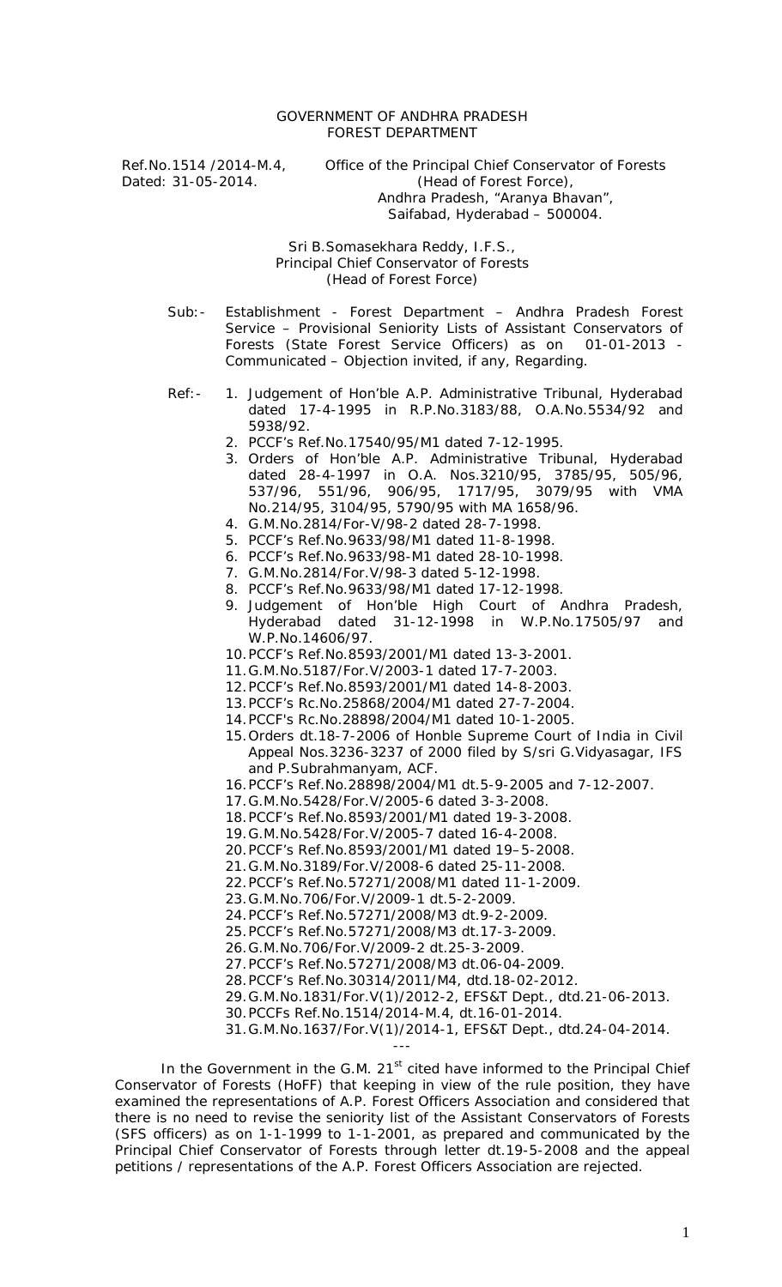## GOVERNMENT OF ANDHRA PRADESH FOREST DEPARTMENT

Ref.No.1514 /2014-M.4, Office of the Principal Chief Conservator of Forests<br>Dated: 31-05-2014. (Head of Forest Force), (Head of Forest Force), Andhra Pradesh, "Aranya Bhavan", Saifabad, Hyderabad – 500004.

> Sri B.Somasekhara Reddy, I.F.S., Principal Chief Conservator of Forests (Head of Forest Force)

Sub:- Establishment - Forest Department – Andhra Pradesh Forest Service – Provisional Seniority Lists of Assistant Conservators of Forests (State Forest Service Officers) as on 01-01-2013 -Forests (State Forest Service Officers) as on Communicated – Objection invited, if any, Regarding.

- Ref:- 1. Judgement of Hon'ble A.P. Administrative Tribunal, Hyderabad dated 17-4-1995 in R.P.No.3183/88, O.A.No.5534/92 and 5938/92.
	- 2. PCCF's Ref.No.17540/95/M1 dated 7-12-1995.
	- 3. Orders of Hon'ble A.P. Administrative Tribunal, Hyderabad dated 28-4-1997 in O.A. Nos.3210/95, 3785/95, 505/96, 537/96, 551/96, 906/95, 1717/95, 3079/95 with VMA No.214/95, 3104/95, 5790/95 with MA 1658/96.
	- 4. G.M.No.2814/For-V/98-2 dated 28-7-1998.
	- 5. PCCF's Ref.No.9633/98/M1 dated 11-8-1998.
	- 6. PCCF's Ref.No.9633/98-M1 dated 28-10-1998.
	- 7. G.M.No.2814/For.V/98-3 dated 5-12-1998.
	- 8. PCCF's Ref.No.9633/98/M1 dated 17-12-1998.
	- 9. Judgement of Hon'ble High Court of Andhra Pradesh, Hyderabad dated 31-12-1998 in W.P.No.17505/97 and W.P.No.14606/97.
	- 10.PCCF's Ref.No.8593/2001/M1 dated 13-3-2001.
	- 11.G.M.No.5187/For.V/2003-1 dated 17-7-2003.
	- 12.PCCF's Ref.No.8593/2001/M1 dated 14-8-2003.
	- 13.PCCF's Rc.No.25868/2004/M1 dated 27-7-2004.
	- 14.PCCF's Rc.No.28898/2004/M1 dated 10-1-2005.
	- 15.Orders dt.18-7-2006 of Honble Supreme Court of India in Civil Appeal Nos.3236-3237 of 2000 filed by S/sri G.Vidyasagar, IFS and P.Subrahmanyam, ACF.
	- 16.PCCF's Ref.No.28898/2004/M1 dt.5-9-2005 and 7-12-2007.
	- 17.G.M.No.5428/For.V/2005-6 dated 3-3-2008.
	- 18.PCCF's Ref.No.8593/2001/M1 dated 19-3-2008.
	- 19.G.M.No.5428/For.V/2005-7 dated 16-4-2008.
	- 20.PCCF's Ref.No.8593/2001/M1 dated 19–5-2008.
	- 21.G.M.No.3189/For.V/2008-6 dated 25-11-2008.
	- 22.PCCF's Ref.No.57271/2008/M1 dated 11-1-2009.
	- 23.G.M.No.706/For.V/2009-1 dt.5-2-2009.
	- 24.PCCF's Ref.No.57271/2008/M3 dt.9-2-2009.
	- 25.PCCF's Ref.No.57271/2008/M3 dt.17-3-2009.
	- 26.G.M.No.706/For.V/2009-2 dt.25-3-2009.
	- 27.PCCF's Ref.No.57271/2008/M3 dt.06-04-2009.
	- 28.PCCF's Ref.No.30314/2011/M4, dtd.18-02-2012.
	- 29.G.M.No.1831/For.V(1)/2012-2, EFS&T Dept., dtd.21-06-2013.
	- 30.PCCFs Ref.No.1514/2014-M.4, dt.16-01-2014.

---

31.G.M.No.1637/For.V(1)/2014-1, EFS&T Dept., dtd.24-04-2014.

In the Government in the G.M.  $21<sup>st</sup>$  cited have informed to the Principal Chief Conservator of Forests (HoFF) that keeping in view of the rule position, they have examined the representations of A.P. Forest Officers Association and considered that there is no need to revise the seniority list of the Assistant Conservators of Forests (SFS officers) as on 1-1-1999 to 1-1-2001, as prepared and communicated by the Principal Chief Conservator of Forests through letter dt.19-5-2008 and the appeal petitions / representations of the A.P. Forest Officers Association are rejected.